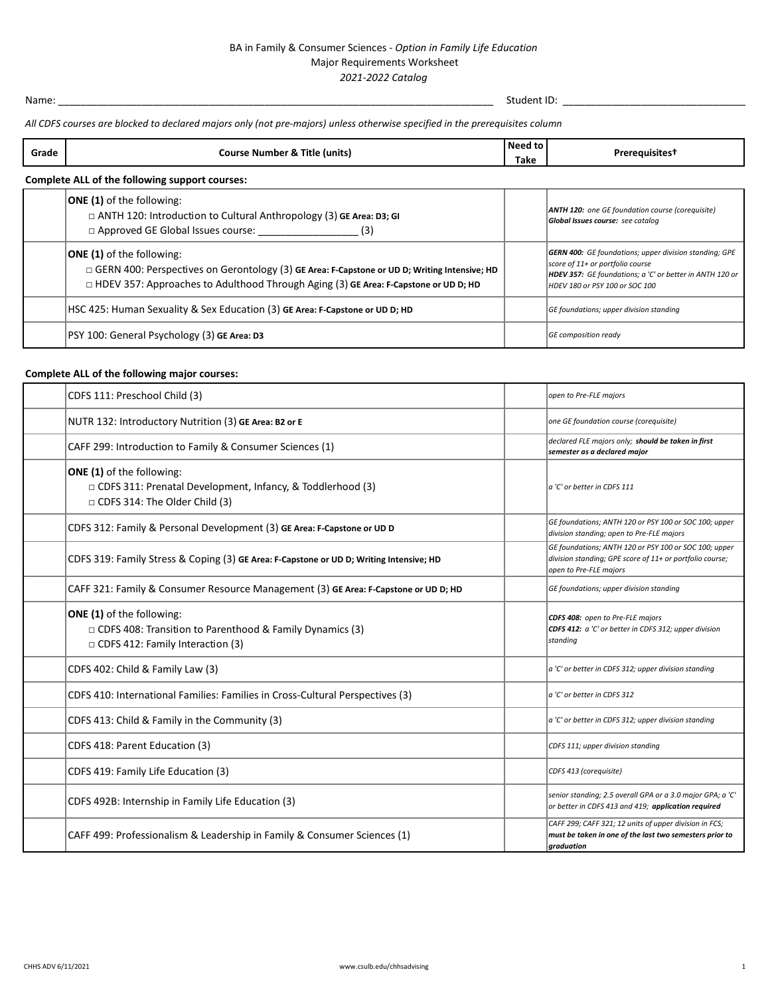## BA in Family & Consumer Sciences - *Option in Family Life Education* Major Requirements Worksheet *2021-2022 Catalog*

Name: \_\_\_\_\_\_\_\_\_\_\_\_\_\_\_\_\_\_\_\_\_\_\_\_\_\_\_\_\_\_\_\_\_\_\_\_\_\_\_\_\_\_\_\_\_\_\_\_\_\_\_\_\_\_\_\_\_\_\_\_\_\_\_\_\_\_\_\_\_\_\_\_\_\_\_\_\_\_ Student ID: \_\_\_\_\_\_\_\_\_\_\_\_\_\_\_\_\_\_\_\_\_\_\_\_\_\_\_\_\_\_\_\_\_

*All CDFS courses are blocked to declared majors only (not pre-majors) unless otherwise specified in the prerequisites column*

| Grade | <b>Course Number &amp; Title (units)</b>                                                                                                                                                                                    | Need to<br>Take | Prerequisites <sup>†</sup>                                                                                                                                                                      |  |  |  |  |
|-------|-----------------------------------------------------------------------------------------------------------------------------------------------------------------------------------------------------------------------------|-----------------|-------------------------------------------------------------------------------------------------------------------------------------------------------------------------------------------------|--|--|--|--|
|       | Complete ALL of the following support courses:                                                                                                                                                                              |                 |                                                                                                                                                                                                 |  |  |  |  |
|       | <b>ONE (1)</b> of the following:<br>$\Box$ ANTH 120: Introduction to Cultural Anthropology (3) GE Area: D3; GI<br>$\Box$ Approved GE Global Issues course:<br>(3)                                                           |                 | <b>ANTH 120:</b> one GE foundation course (corequisite)<br>Global Issues course: see catalog                                                                                                    |  |  |  |  |
|       | $ ONE(1)$ of the following:<br>$\Box$ GERN 400: Perspectives on Gerontology (3) GE Area: F-Capstone or UD D; Writing Intensive; HD<br>□ HDEV 357: Approaches to Adulthood Through Aging (3) GE Area: F-Capstone or UD D; HD |                 | <b>GERN 400:</b> GE foundations; upper division standing; GPE<br>score of 11+ or portfolio course<br>HDEV 357: GE foundations; a 'C' or better in ANTH 120 or<br>HDEV 180 or PSY 100 or SOC 100 |  |  |  |  |
|       | HSC 425: Human Sexuality & Sex Education (3) GE Area: F-Capstone or UD D; HD                                                                                                                                                |                 | GE foundations; upper division standing                                                                                                                                                         |  |  |  |  |
|       | PSY 100: General Psychology (3) GE Area: D3                                                                                                                                                                                 |                 | GE composition ready                                                                                                                                                                            |  |  |  |  |

## **Complete ALL of the following major courses:**

| CDFS 111: Preschool Child (3)                                                                                                                  | open to Pre-FLE majors                                                                                                                      |
|------------------------------------------------------------------------------------------------------------------------------------------------|---------------------------------------------------------------------------------------------------------------------------------------------|
| NUTR 132: Introductory Nutrition (3) GE Area: B2 or E                                                                                          | one GE foundation course (corequisite)                                                                                                      |
| CAFF 299: Introduction to Family & Consumer Sciences (1)                                                                                       | declared FLE majors only; should be taken in first<br>semester as a declared major                                                          |
| <b>ONE (1)</b> of the following:<br>□ CDFS 311: Prenatal Development, Infancy, & Toddlerhood (3)<br>$\Box$ CDFS 314: The Older Child (3)       | a 'C' or better in CDFS 111                                                                                                                 |
| CDFS 312: Family & Personal Development (3) GE Area: F-Capstone or UD D                                                                        | GE foundations; ANTH 120 or PSY 100 or SOC 100; upper<br>division standing; open to Pre-FLE majors                                          |
| CDFS 319: Family Stress & Coping (3) GE Area: F-Capstone or UD D; Writing Intensive; HD                                                        | GE foundations; ANTH 120 or PSY 100 or SOC 100; upper<br>division standing; GPE score of 11+ or portfolio course;<br>open to Pre-FLE majors |
| CAFF 321: Family & Consumer Resource Management (3) GE Area: F-Capstone or UD D; HD                                                            | GE foundations; upper division standing                                                                                                     |
| <b>ONE (1)</b> of the following:<br>$\Box$ CDFS 408: Transition to Parenthood & Family Dynamics (3)<br>$\Box$ CDFS 412: Family Interaction (3) | CDFS 408: open to Pre-FLE majors<br>CDFS 412: a 'C' or better in CDFS 312; upper division<br>standing                                       |
| CDFS 402: Child & Family Law (3)                                                                                                               | a 'C' or better in CDFS 312; upper division standing                                                                                        |
| CDFS 410: International Families: Families in Cross-Cultural Perspectives (3)                                                                  | a 'C' or better in CDFS 312                                                                                                                 |
| CDFS 413: Child & Family in the Community (3)                                                                                                  | $ a $ 'C' or better in CDFS 312; upper division standing                                                                                    |
| CDFS 418: Parent Education (3)                                                                                                                 | CDFS 111; upper division standing                                                                                                           |
| CDFS 419: Family Life Education (3)                                                                                                            | CDFS 413 (corequisite)                                                                                                                      |
| CDFS 492B: Internship in Family Life Education (3)                                                                                             | senior standing; 2.5 overall GPA or a 3.0 major GPA; a 'C'<br>or better in CDFS 413 and 419; application required                           |
| CAFF 499: Professionalism & Leadership in Family & Consumer Sciences (1)                                                                       | CAFF 299; CAFF 321; 12 units of upper division in FCS;<br>must be taken in one of the last two semesters prior to<br>graduation             |